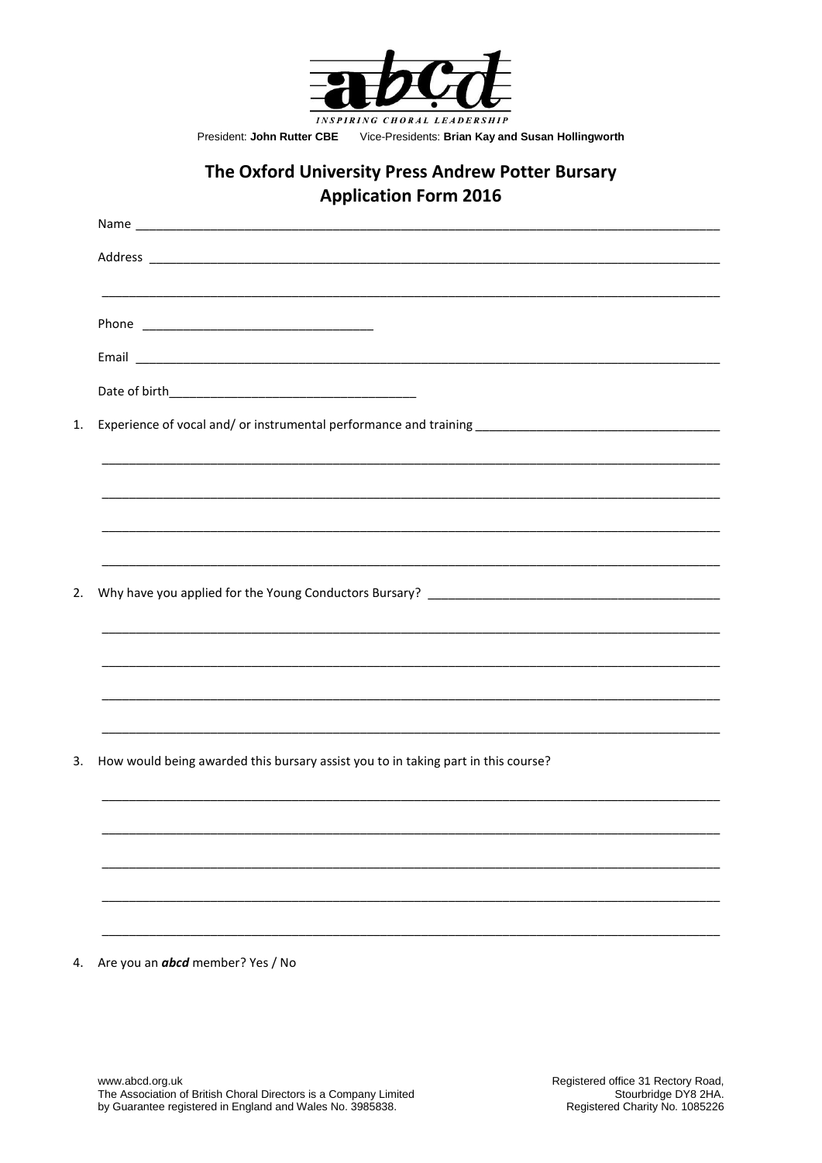

President: John Rutter CBE Vice-Presidents: Brian Kay and Susan Hollingworth

## The Oxford University Press Andrew Potter Bursary **Application Form 2016**

| 1. |                                                                                   |  |  |  |  |  |
|----|-----------------------------------------------------------------------------------|--|--|--|--|--|
|    |                                                                                   |  |  |  |  |  |
|    |                                                                                   |  |  |  |  |  |
|    |                                                                                   |  |  |  |  |  |
| 2. |                                                                                   |  |  |  |  |  |
|    |                                                                                   |  |  |  |  |  |
|    |                                                                                   |  |  |  |  |  |
|    |                                                                                   |  |  |  |  |  |
| 3. | How would being awarded this bursary assist you to in taking part in this course? |  |  |  |  |  |
|    |                                                                                   |  |  |  |  |  |
|    |                                                                                   |  |  |  |  |  |
|    |                                                                                   |  |  |  |  |  |
|    |                                                                                   |  |  |  |  |  |

4. Are you an **abcd** member? Yes / No